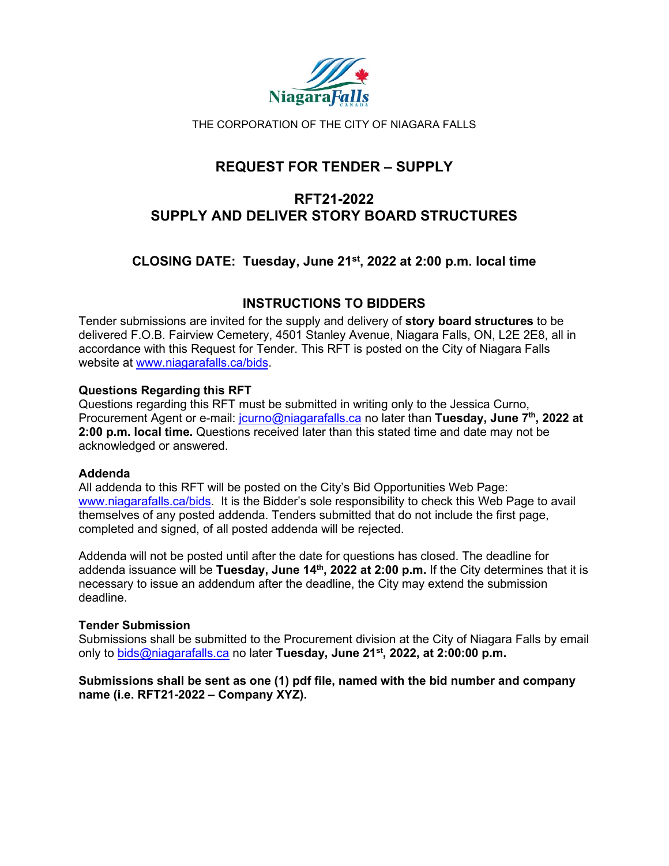

THE CORPORATION OF THE CITY OF NIAGARA FALLS

# **REQUEST FOR TENDER – SUPPLY**

# **RFT21-2022 SUPPLY AND DELIVER STORY BOARD STRUCTURES**

# **CLOSING DATE: Tuesday, June 21st, 2022 at 2:00 p.m. local time**

# **INSTRUCTIONS TO BIDDERS**

Tender submissions are invited for the supply and delivery of **story board structures** to be delivered F.O.B. Fairview Cemetery, 4501 Stanley Avenue, Niagara Falls, ON, L2E 2E8, all in accordance with this Request for Tender. This RFT is posted on the City of Niagara Falls website at [www.niagarafalls.ca/bids.](http://www.niagarafalls.ca/bids)

# **Questions Regarding this RFT**

Questions regarding this RFT must be submitted in writing only to the Jessica Curno, Procurement Agent or e-mail: [jcurno@niagarafalls.ca](mailto:jcurno@niagarafalls.ca) no later than **Tuesday, June 7th, 2022 at 2:00 p.m. local time.** Questions received later than this stated time and date may not be acknowledged or answered.

### **Addenda**

All addenda to this RFT will be posted on the City's Bid Opportunities Web Page: [www.niagarafalls.ca/bids.](http://www.niagarafalls.ca/bids) It is the Bidder's sole responsibility to check this Web Page to avail themselves of any posted addenda. Tenders submitted that do not include the first page, completed and signed, of all posted addenda will be rejected.

Addenda will not be posted until after the date for questions has closed. The deadline for addenda issuance will be **Tuesday, June 14th, 2022 at 2:00 p.m.** If the City determines that it is necessary to issue an addendum after the deadline, the City may extend the submission deadline.

### **Tender Submission**

Submissions shall be submitted to the Procurement division at the City of Niagara Falls by email only to [bids@niagarafalls.ca](mailto:bids@niagarafalls.ca) no later **Tuesday, June 21st, 2022, at 2:00:00 p.m.** 

### **Submissions shall be sent as one (1) pdf file, named with the bid number and company name (i.e. RFT21-2022 – Company XYZ).**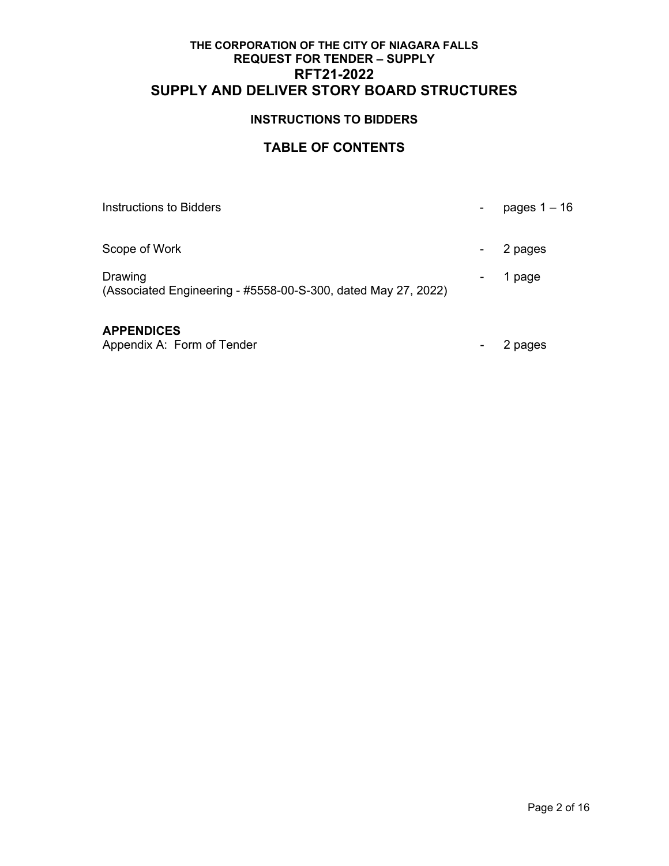# **INSTRUCTIONS TO BIDDERS**

# **TABLE OF CONTENTS**

| Instructions to Bidders                                                  | pages $1 - 16$ |
|--------------------------------------------------------------------------|----------------|
| Scope of Work                                                            | 2 pages        |
| Drawing<br>(Associated Engineering - #5558-00-S-300, dated May 27, 2022) | 1 page         |
| <b>APPENDICES</b>                                                        |                |

Appendix A: Form of Tender - 2 pages - 2 pages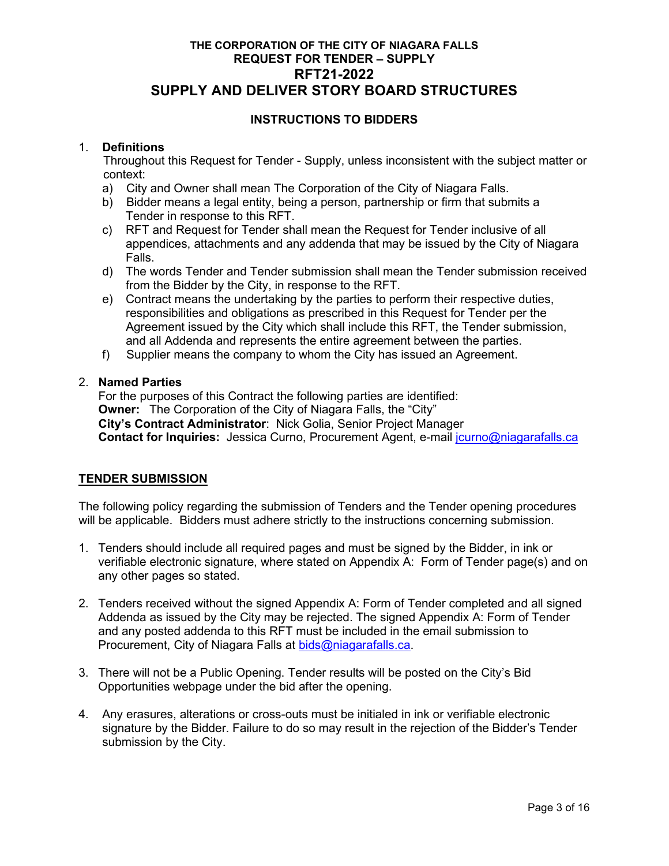# **INSTRUCTIONS TO BIDDERS**

## 1. **Definitions**

Throughout this Request for Tender - Supply, unless inconsistent with the subject matter or context:

- a) City and Owner shall mean The Corporation of the City of Niagara Falls.
- b) Bidder means a legal entity, being a person, partnership or firm that submits a Tender in response to this RFT.
- c) RFT and Request for Tender shall mean the Request for Tender inclusive of all appendices, attachments and any addenda that may be issued by the City of Niagara Falls.
- d) The words Tender and Tender submission shall mean the Tender submission received from the Bidder by the City, in response to the RFT.
- e) Contract means the undertaking by the parties to perform their respective duties, responsibilities and obligations as prescribed in this Request for Tender per the Agreement issued by the City which shall include this RFT, the Tender submission, and all Addenda and represents the entire agreement between the parties.
- f) Supplier means the company to whom the City has issued an Agreement.

## 2. **Named Parties**

 For the purposes of this Contract the following parties are identified: **Owner:** The Corporation of the City of Niagara Falls, the "City" **City's Contract Administrator**: Nick Golia, Senior Project Manager **Contact for Inquiries:** Jessica Curno, Procurement Agent, e-mail [jcurno@niagarafalls.ca](mailto:jcurno@niagarafalls.ca)

### **TENDER SUBMISSION**

The following policy regarding the submission of Tenders and the Tender opening procedures will be applicable. Bidders must adhere strictly to the instructions concerning submission.

- 1. Tenders should include all required pages and must be signed by the Bidder, in ink or verifiable electronic signature, where stated on Appendix A: Form of Tender page(s) and on any other pages so stated.
- 2. Tenders received without the signed Appendix A: Form of Tender completed and all signed Addenda as issued by the City may be rejected. The signed Appendix A: Form of Tender and any posted addenda to this RFT must be included in the email submission to Procurement, City of Niagara Falls at [bids@niagarafalls.ca.](mailto:bids@niagarafalls.ca)
- 3. There will not be a Public Opening. Tender results will be posted on the City's Bid Opportunities webpage under the bid after the opening.
- 4. Any erasures, alterations or cross-outs must be initialed in ink or verifiable electronic signature by the Bidder. Failure to do so may result in the rejection of the Bidder's Tender submission by the City.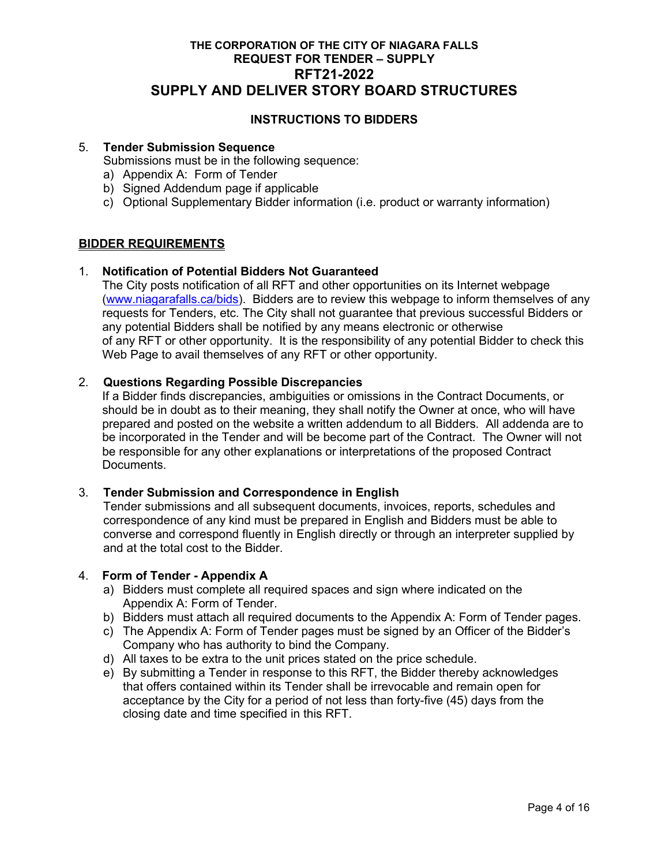# **INSTRUCTIONS TO BIDDERS**

### 5. **Tender Submission Sequence**

Submissions must be in the following sequence:

- a) Appendix A: Form of Tender
- b) Signed Addendum page if applicable
- c) Optional Supplementary Bidder information (i.e. product or warranty information)

# **BIDDER REQUIREMENTS**

### 1. **Notification of Potential Bidders Not Guaranteed**

The City posts notification of all RFT and other opportunities on its Internet webpage [\(www.niagarafalls.ca/bids\)](http://www.niagarafalls.ca/bids). Bidders are to review this webpage to inform themselves of any requests for Tenders, etc. The City shall not guarantee that previous successful Bidders or any potential Bidders shall be notified by any means electronic or otherwise of any RFT or other opportunity. It is the responsibility of any potential Bidder to check this Web Page to avail themselves of any RFT or other opportunity.

### 2. **Questions Regarding Possible Discrepancies**

 If a Bidder finds discrepancies, ambiguities or omissions in the Contract Documents, or should be in doubt as to their meaning, they shall notify the Owner at once, who will have prepared and posted on the website a written addendum to all Bidders. All addenda are to be incorporated in the Tender and will be become part of the Contract. The Owner will not be responsible for any other explanations or interpretations of the proposed Contract Documents.

### 3. **Tender Submission and Correspondence in English**

Tender submissions and all subsequent documents, invoices, reports, schedules and correspondence of any kind must be prepared in English and Bidders must be able to converse and correspond fluently in English directly or through an interpreter supplied by and at the total cost to the Bidder.

### 4. **Form of Tender - Appendix A**

- a) Bidders must complete all required spaces and sign where indicated on the Appendix A: Form of Tender.
- b) Bidders must attach all required documents to the Appendix A: Form of Tender pages.
- c) The Appendix A: Form of Tender pages must be signed by an Officer of the Bidder's Company who has authority to bind the Company.
- d) All taxes to be extra to the unit prices stated on the price schedule.
- e) By submitting a Tender in response to this RFT, the Bidder thereby acknowledges that offers contained within its Tender shall be irrevocable and remain open for acceptance by the City for a period of not less than forty-five (45) days from the closing date and time specified in this RFT.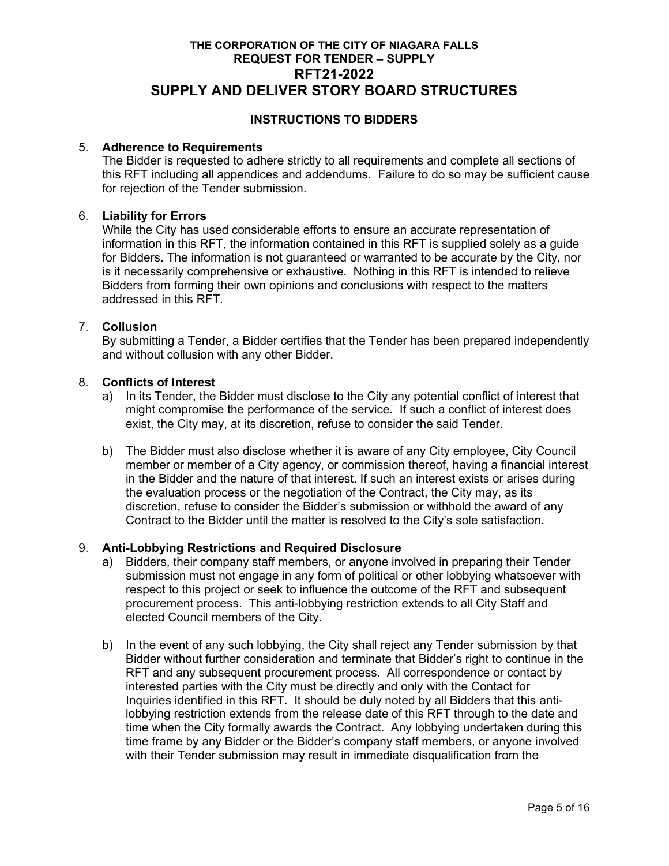# **INSTRUCTIONS TO BIDDERS**

### 5. **Adherence to Requirements**

The Bidder is requested to adhere strictly to all requirements and complete all sections of this RFT including all appendices and addendums. Failure to do so may be sufficient cause for rejection of the Tender submission.

### 6. **Liability for Errors**

While the City has used considerable efforts to ensure an accurate representation of information in this RFT, the information contained in this RFT is supplied solely as a guide for Bidders. The information is not guaranteed or warranted to be accurate by the City, nor is it necessarily comprehensive or exhaustive. Nothing in this RFT is intended to relieve Bidders from forming their own opinions and conclusions with respect to the matters addressed in this RFT.

### 7. **Collusion**

By submitting a Tender, a Bidder certifies that the Tender has been prepared independently and without collusion with any other Bidder.

### 8. **Conflicts of Interest**

- a) In its Tender, the Bidder must disclose to the City any potential conflict of interest that might compromise the performance of the service. If such a conflict of interest does exist, the City may, at its discretion, refuse to consider the said Tender.
- b) The Bidder must also disclose whether it is aware of any City employee, City Council member or member of a City agency, or commission thereof, having a financial interest in the Bidder and the nature of that interest. If such an interest exists or arises during the evaluation process or the negotiation of the Contract, the City may, as its discretion, refuse to consider the Bidder's submission or withhold the award of any Contract to the Bidder until the matter is resolved to the City's sole satisfaction.

# 9. **Anti-Lobbying Restrictions and Required Disclosure**

- a) Bidders, their company staff members, or anyone involved in preparing their Tender submission must not engage in any form of political or other lobbying whatsoever with respect to this project or seek to influence the outcome of the RFT and subsequent procurement process. This anti-lobbying restriction extends to all City Staff and elected Council members of the City.
- b) In the event of any such lobbying, the City shall reject any Tender submission by that Bidder without further consideration and terminate that Bidder's right to continue in the RFT and any subsequent procurement process. All correspondence or contact by interested parties with the City must be directly and only with the Contact for Inquiries identified in this RFT. It should be duly noted by all Bidders that this antilobbying restriction extends from the release date of this RFT through to the date and time when the City formally awards the Contract. Any lobbying undertaken during this time frame by any Bidder or the Bidder's company staff members, or anyone involved with their Tender submission may result in immediate disqualification from the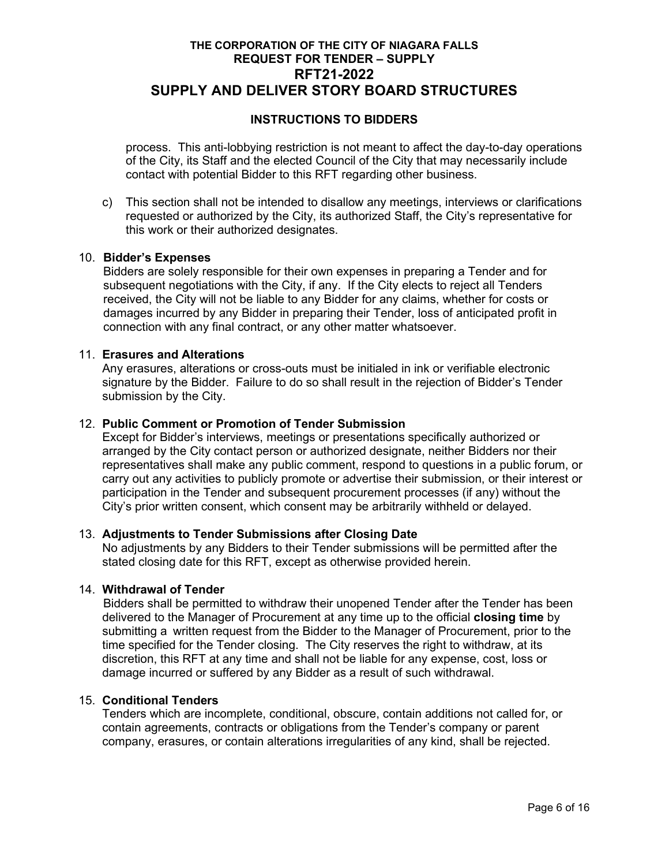# **INSTRUCTIONS TO BIDDERS**

process. This anti-lobbying restriction is not meant to affect the day-to-day operations of the City, its Staff and the elected Council of the City that may necessarily include contact with potential Bidder to this RFT regarding other business.

c) This section shall not be intended to disallow any meetings, interviews or clarifications requested or authorized by the City, its authorized Staff, the City's representative for this work or their authorized designates.

### 10. **Bidder's Expenses**

Bidders are solely responsible for their own expenses in preparing a Tender and for subsequent negotiations with the City, if any. If the City elects to reject all Tenders received, the City will not be liable to any Bidder for any claims, whether for costs or damages incurred by any Bidder in preparing their Tender, loss of anticipated profit in connection with any final contract, or any other matter whatsoever.

#### 11. **Erasures and Alterations**

Any erasures, alterations or cross-outs must be initialed in ink or verifiable electronic signature by the Bidder. Failure to do so shall result in the rejection of Bidder's Tender submission by the City.

### 12. **Public Comment or Promotion of Tender Submission**

Except for Bidder's interviews, meetings or presentations specifically authorized or arranged by the City contact person or authorized designate, neither Bidders nor their representatives shall make any public comment, respond to questions in a public forum, or carry out any activities to publicly promote or advertise their submission, or their interest or participation in the Tender and subsequent procurement processes (if any) without the City's prior written consent, which consent may be arbitrarily withheld or delayed.

### 13. **Adjustments to Tender Submissions after Closing Date**

No adjustments by any Bidders to their Tender submissions will be permitted after the stated closing date for this RFT, except as otherwise provided herein.

#### 14. **Withdrawal of Tender**

Bidders shall be permitted to withdraw their unopened Tender after the Tender has been delivered to the Manager of Procurement at any time up to the official **closing time** by submitting a written request from the Bidder to the Manager of Procurement, prior to the time specified for the Tender closing. The City reserves the right to withdraw, at its discretion, this RFT at any time and shall not be liable for any expense, cost, loss or damage incurred or suffered by any Bidder as a result of such withdrawal.

#### 15. **Conditional Tenders**

Tenders which are incomplete, conditional, obscure, contain additions not called for, or contain agreements, contracts or obligations from the Tender's company or parent company, erasures, or contain alterations irregularities of any kind, shall be rejected.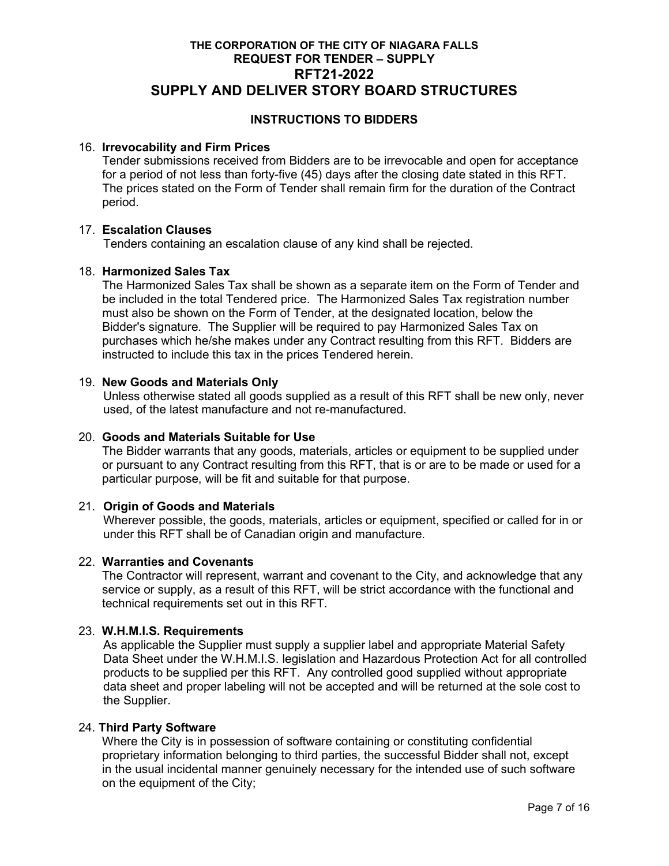# **INSTRUCTIONS TO BIDDERS**

### 16. **Irrevocability and Firm Prices**

Tender submissions received from Bidders are to be irrevocable and open for acceptance for a period of not less than forty-five (45) days after the closing date stated in this RFT. The prices stated on the Form of Tender shall remain firm for the duration of the Contract period.

### 17. **Escalation Clauses**

Tenders containing an escalation clause of any kind shall be rejected.

### 18. **Harmonized Sales Tax**

The Harmonized Sales Tax shall be shown as a separate item on the Form of Tender and be included in the total Tendered price. The Harmonized Sales Tax registration number must also be shown on the Form of Tender, at the designated location, below the Bidder's signature. The Supplier will be required to pay Harmonized Sales Tax on purchases which he/she makes under any Contract resulting from this RFT. Bidders are instructed to include this tax in the prices Tendered herein.

### 19. **New Goods and Materials Only**

Unless otherwise stated all goods supplied as a result of this RFT shall be new only, never used, of the latest manufacture and not re-manufactured.

### 20. **Goods and Materials Suitable for Use**

The Bidder warrants that any goods, materials, articles or equipment to be supplied under or pursuant to any Contract resulting from this RFT, that is or are to be made or used for a particular purpose, will be fit and suitable for that purpose.

### 21. **Origin of Goods and Materials**

Wherever possible, the goods, materials, articles or equipment, specified or called for in or under this RFT shall be of Canadian origin and manufacture.

### 22. **Warranties and Covenants**

The Contractor will represent, warrant and covenant to the City, and acknowledge that any service or supply, as a result of this RFT, will be strict accordance with the functional and technical requirements set out in this RFT.

### 23. **W.H.M.I.S. Requirements**

As applicable the Supplier must supply a supplier label and appropriate Material Safety Data Sheet under the W.H.M.I.S. legislation and Hazardous Protection Act for all controlled products to be supplied per this RFT. Any controlled good supplied without appropriate data sheet and proper labeling will not be accepted and will be returned at the sole cost to the Supplier.

## 24. **Third Party Software**

Where the City is in possession of software containing or constituting confidential proprietary information belonging to third parties, the successful Bidder shall not, except in the usual incidental manner genuinely necessary for the intended use of such software on the equipment of the City;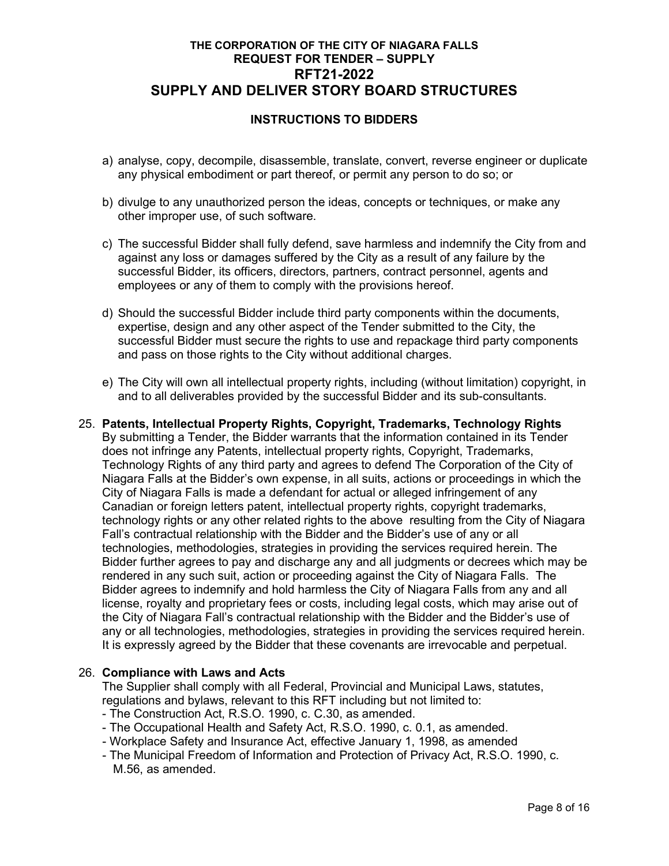# **INSTRUCTIONS TO BIDDERS**

- a) analyse, copy, decompile, disassemble, translate, convert, reverse engineer or duplicate any physical embodiment or part thereof, or permit any person to do so; or
- b) divulge to any unauthorized person the ideas, concepts or techniques, or make any other improper use, of such software.
- c) The successful Bidder shall fully defend, save harmless and indemnify the City from and against any loss or damages suffered by the City as a result of any failure by the successful Bidder, its officers, directors, partners, contract personnel, agents and employees or any of them to comply with the provisions hereof.
- d) Should the successful Bidder include third party components within the documents, expertise, design and any other aspect of the Tender submitted to the City, the successful Bidder must secure the rights to use and repackage third party components and pass on those rights to the City without additional charges.
- e) The City will own all intellectual property rights, including (without limitation) copyright, in and to all deliverables provided by the successful Bidder and its sub-consultants.
- 25. **Patents, Intellectual Property Rights, Copyright, Trademarks, Technology Rights**  By submitting a Tender, the Bidder warrants that the information contained in its Tender does not infringe any Patents, intellectual property rights, Copyright, Trademarks, Technology Rights of any third party and agrees to defend The Corporation of the City of Niagara Falls at the Bidder's own expense, in all suits, actions or proceedings in which the City of Niagara Falls is made a defendant for actual or alleged infringement of any Canadian or foreign letters patent, intellectual property rights, copyright trademarks, technology rights or any other related rights to the above resulting from the City of Niagara Fall's contractual relationship with the Bidder and the Bidder's use of any or all technologies, methodologies, strategies in providing the services required herein. The Bidder further agrees to pay and discharge any and all judgments or decrees which may be rendered in any such suit, action or proceeding against the City of Niagara Falls. The Bidder agrees to indemnify and hold harmless the City of Niagara Falls from any and all license, royalty and proprietary fees or costs, including legal costs, which may arise out of the City of Niagara Fall's contractual relationship with the Bidder and the Bidder's use of any or all technologies, methodologies, strategies in providing the services required herein. It is expressly agreed by the Bidder that these covenants are irrevocable and perpetual.

### 26. **Compliance with Laws and Acts**

The Supplier shall comply with all Federal, Provincial and Municipal Laws, statutes, regulations and bylaws, relevant to this RFT including but not limited to:

- The Construction Act, R.S.O. 1990, c. C.30, as amended.
- The Occupational Health and Safety Act, R.S.O. 1990, c. 0.1, as amended.
- Workplace Safety and Insurance Act, effective January 1, 1998, as amended
- The Municipal Freedom of Information and Protection of Privacy Act, R.S.O. 1990, c. M.56, as amended.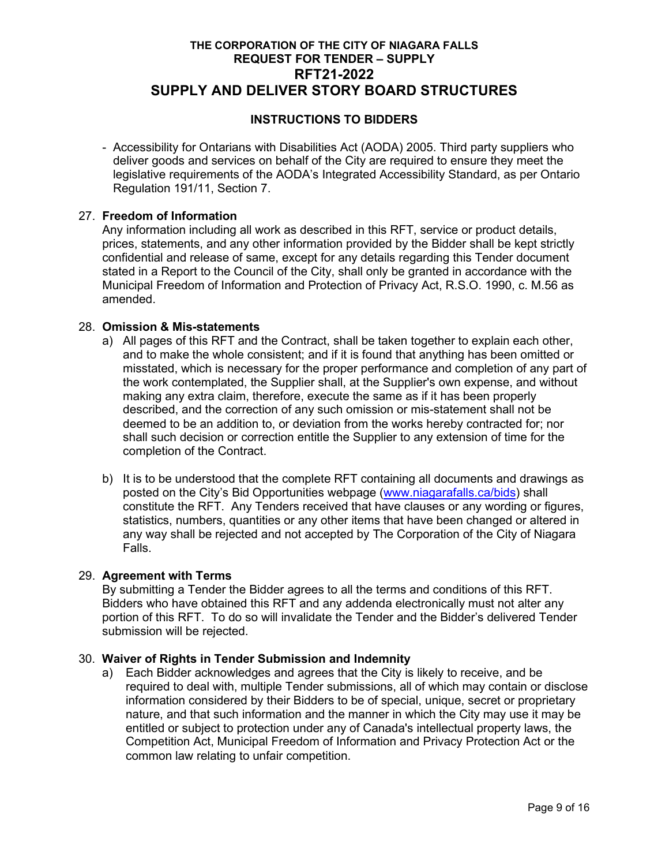# **INSTRUCTIONS TO BIDDERS**

 - Accessibility for Ontarians with Disabilities Act (AODA) 2005. Third party suppliers who deliver goods and services on behalf of the City are required to ensure they meet the legislative requirements of the AODA's Integrated Accessibility Standard, as per Ontario Regulation 191/11, Section 7.

### 27. **Freedom of Information**

Any information including all work as described in this RFT, service or product details, prices, statements, and any other information provided by the Bidder shall be kept strictly confidential and release of same, except for any details regarding this Tender document stated in a Report to the Council of the City, shall only be granted in accordance with the Municipal Freedom of Information and Protection of Privacy Act, R.S.O. 1990, c. M.56 as amended.

### 28. **Omission & Mis-statements**

- a) All pages of this RFT and the Contract, shall be taken together to explain each other, and to make the whole consistent; and if it is found that anything has been omitted or misstated, which is necessary for the proper performance and completion of any part of the work contemplated, the Supplier shall, at the Supplier's own expense, and without making any extra claim, therefore, execute the same as if it has been properly described, and the correction of any such omission or mis-statement shall not be deemed to be an addition to, or deviation from the works hereby contracted for; nor shall such decision or correction entitle the Supplier to any extension of time for the completion of the Contract.
- b) It is to be understood that the complete RFT containing all documents and drawings as posted on the City's Bid Opportunities webpage [\(www.niagarafalls.ca/bids\)](http://www.niagarafalls.ca/bids) shall constitute the RFT. Any Tenders received that have clauses or any wording or figures, statistics, numbers, quantities or any other items that have been changed or altered in any way shall be rejected and not accepted by The Corporation of the City of Niagara Falls.

# 29. **Agreement with Terms**

By submitting a Tender the Bidder agrees to all the terms and conditions of this RFT. Bidders who have obtained this RFT and any addenda electronically must not alter any portion of this RFT. To do so will invalidate the Tender and the Bidder's delivered Tender submission will be rejected.

# 30. **Waiver of Rights in Tender Submission and Indemnity**

a) Each Bidder acknowledges and agrees that the City is likely to receive, and be required to deal with, multiple Tender submissions, all of which may contain or disclose information considered by their Bidders to be of special, unique, secret or proprietary nature, and that such information and the manner in which the City may use it may be entitled or subject to protection under any of Canada's intellectual property laws, the Competition Act, Municipal Freedom of Information and Privacy Protection Act or the common law relating to unfair competition.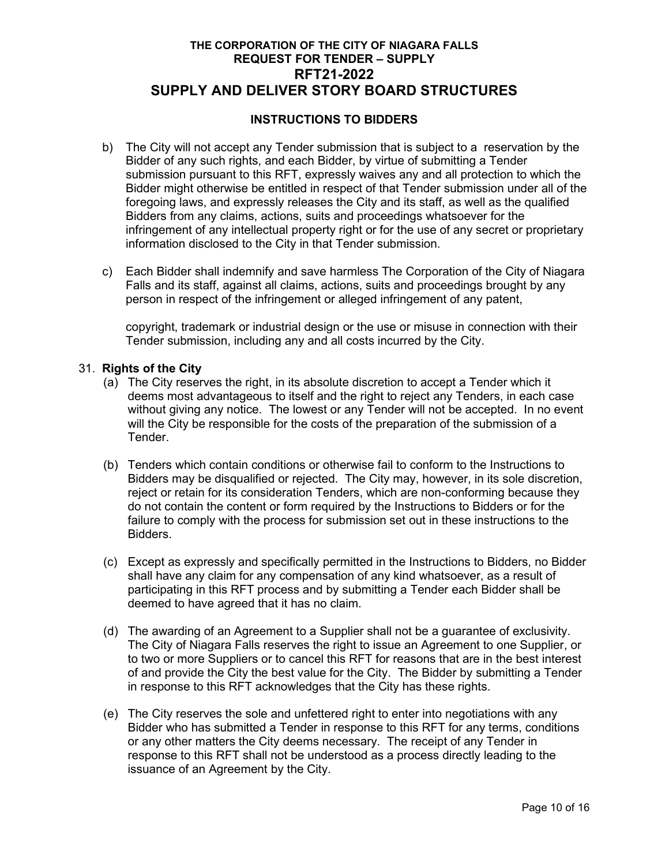# **INSTRUCTIONS TO BIDDERS**

- b) The City will not accept any Tender submission that is subject to a reservation by the Bidder of any such rights, and each Bidder, by virtue of submitting a Tender submission pursuant to this RFT, expressly waives any and all protection to which the Bidder might otherwise be entitled in respect of that Tender submission under all of the foregoing laws, and expressly releases the City and its staff, as well as the qualified Bidders from any claims, actions, suits and proceedings whatsoever for the infringement of any intellectual property right or for the use of any secret or proprietary information disclosed to the City in that Tender submission.
- c) Each Bidder shall indemnify and save harmless The Corporation of the City of Niagara Falls and its staff, against all claims, actions, suits and proceedings brought by any person in respect of the infringement or alleged infringement of any patent,

copyright, trademark or industrial design or the use or misuse in connection with their Tender submission, including any and all costs incurred by the City.

### 31. **Rights of the City**

- (a) The City reserves the right, in its absolute discretion to accept a Tender which it deems most advantageous to itself and the right to reject any Tenders, in each case without giving any notice. The lowest or any Tender will not be accepted. In no event will the City be responsible for the costs of the preparation of the submission of a Tender.
- (b) Tenders which contain conditions or otherwise fail to conform to the Instructions to Bidders may be disqualified or rejected. The City may, however, in its sole discretion, reject or retain for its consideration Tenders, which are non-conforming because they do not contain the content or form required by the Instructions to Bidders or for the failure to comply with the process for submission set out in these instructions to the Bidders.
- (c) Except as expressly and specifically permitted in the Instructions to Bidders, no Bidder shall have any claim for any compensation of any kind whatsoever, as a result of participating in this RFT process and by submitting a Tender each Bidder shall be deemed to have agreed that it has no claim.
- (d) The awarding of an Agreement to a Supplier shall not be a guarantee of exclusivity. The City of Niagara Falls reserves the right to issue an Agreement to one Supplier, or to two or more Suppliers or to cancel this RFT for reasons that are in the best interest of and provide the City the best value for the City. The Bidder by submitting a Tender in response to this RFT acknowledges that the City has these rights.
- (e) The City reserves the sole and unfettered right to enter into negotiations with any Bidder who has submitted a Tender in response to this RFT for any terms, conditions or any other matters the City deems necessary. The receipt of any Tender in response to this RFT shall not be understood as a process directly leading to the issuance of an Agreement by the City.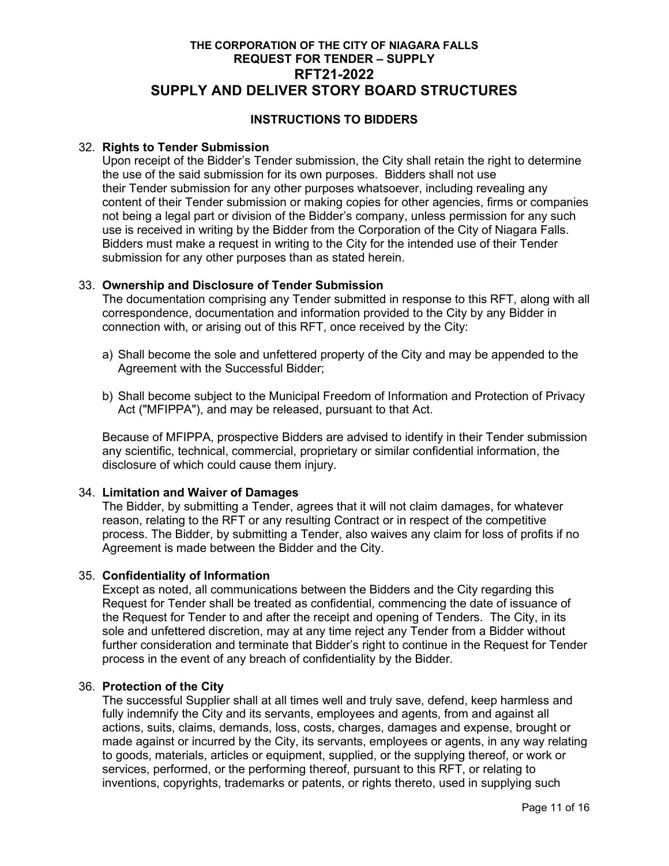# **INSTRUCTIONS TO BIDDERS**

## 32. **Rights to Tender Submission**

Upon receipt of the Bidder's Tender submission, the City shall retain the right to determine the use of the said submission for its own purposes. Bidders shall not use their Tender submission for any other purposes whatsoever, including revealing any content of their Tender submission or making copies for other agencies, firms or companies not being a legal part or division of the Bidder's company, unless permission for any such use is received in writing by the Bidder from the Corporation of the City of Niagara Falls. Bidders must make a request in writing to the City for the intended use of their Tender submission for any other purposes than as stated herein.

### 33. **Ownership and Disclosure of Tender Submission**

The documentation comprising any Tender submitted in response to this RFT, along with all correspondence, documentation and information provided to the City by any Bidder in connection with, or arising out of this RFT, once received by the City:

- a) Shall become the sole and unfettered property of the City and may be appended to the Agreement with the Successful Bidder;
- b) Shall become subject to the Municipal Freedom of Information and Protection of Privacy Act ("MFIPPA"), and may be released, pursuant to that Act.

Because of MFIPPA, prospective Bidders are advised to identify in their Tender submission any scientific, technical, commercial, proprietary or similar confidential information, the disclosure of which could cause them injury.

### 34. **Limitation and Waiver of Damages**

The Bidder, by submitting a Tender, agrees that it will not claim damages, for whatever reason, relating to the RFT or any resulting Contract or in respect of the competitive process. The Bidder, by submitting a Tender, also waives any claim for loss of profits if no Agreement is made between the Bidder and the City.

### 35. **Confidentiality of Information**

Except as noted, all communications between the Bidders and the City regarding this Request for Tender shall be treated as confidential, commencing the date of issuance of the Request for Tender to and after the receipt and opening of Tenders.The City, in its sole and unfettered discretion, may at any time reject any Tender from a Bidder without further consideration and terminate that Bidder's right to continue in the Request for Tender process in the event of any breach of confidentiality by the Bidder.

### 36. **Protection of the City**

The successful Supplier shall at all times well and truly save, defend, keep harmless and fully indemnify the City and its servants, employees and agents, from and against all actions, suits, claims, demands, loss, costs, charges, damages and expense, brought or made against or incurred by the City, its servants, employees or agents, in any way relating to goods, materials, articles or equipment, supplied, or the supplying thereof, or work or services, performed, or the performing thereof, pursuant to this RFT, or relating to inventions, copyrights, trademarks or patents, or rights thereto, used in supplying such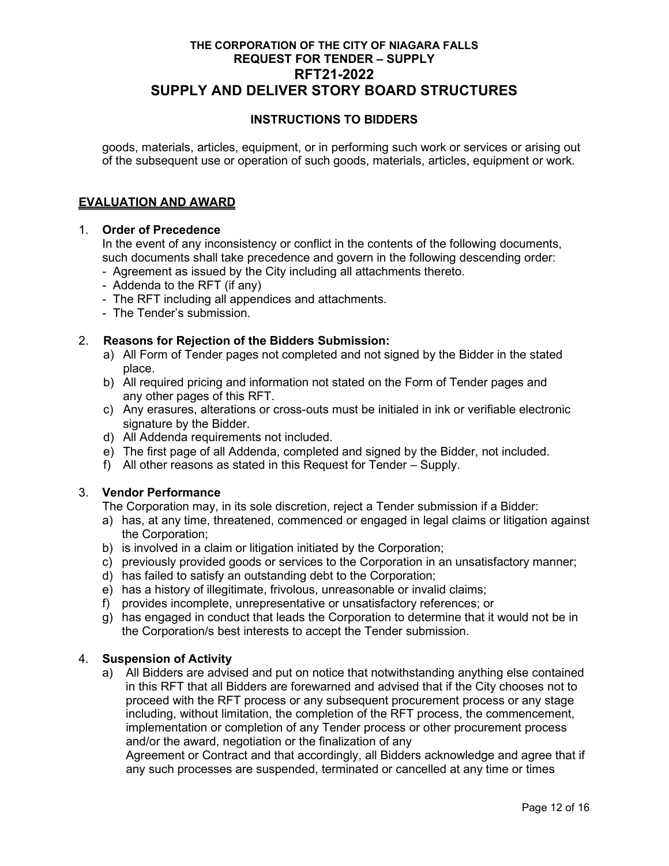# **INSTRUCTIONS TO BIDDERS**

goods, materials, articles, equipment, or in performing such work or services or arising out of the subsequent use or operation of such goods, materials, articles, equipment or work.

## **EVALUATION AND AWARD**

### 1. **Order of Precedence**

In the event of any inconsistency or conflict in the contents of the following documents, such documents shall take precedence and govern in the following descending order:

- Agreement as issued by the City including all attachments thereto.
- Addenda to the RFT (if any)
- The RFT including all appendices and attachments.
- The Tender's submission.

### 2. **Reasons for Rejection of the Bidders Submission:**

- a) All Form of Tender pages not completed and not signed by the Bidder in the stated place.
- b) All required pricing and information not stated on the Form of Tender pages and any other pages of this RFT.
- c) Any erasures, alterations or cross-outs must be initialed in ink or verifiable electronic signature by the Bidder.
- d) All Addenda requirements not included.
- e) The first page of all Addenda, completed and signed by the Bidder, not included.
- f) All other reasons as stated in this Request for Tender Supply.

### 3. **Vendor Performance**

The Corporation may, in its sole discretion, reject a Tender submission if a Bidder:

- a) has, at any time, threatened, commenced or engaged in legal claims or litigation against the Corporation;
- b) is involved in a claim or litigation initiated by the Corporation;
- c) previously provided goods or services to the Corporation in an unsatisfactory manner;
- d) has failed to satisfy an outstanding debt to the Corporation;
- e) has a history of illegitimate, frivolous, unreasonable or invalid claims;
- f) provides incomplete, unrepresentative or unsatisfactory references; or
- g) has engaged in conduct that leads the Corporation to determine that it would not be in the Corporation/s best interests to accept the Tender submission.

### 4. **Suspension of Activity**

a) All Bidders are advised and put on notice that notwithstanding anything else contained in this RFT that all Bidders are forewarned and advised that if the City chooses not to proceed with the RFT process or any subsequent procurement process or any stage including, without limitation, the completion of the RFT process, the commencement, implementation or completion of any Tender process or other procurement process and/or the award, negotiation or the finalization of any

 Agreement or Contract and that accordingly, all Bidders acknowledge and agree that if any such processes are suspended, terminated or cancelled at any time or times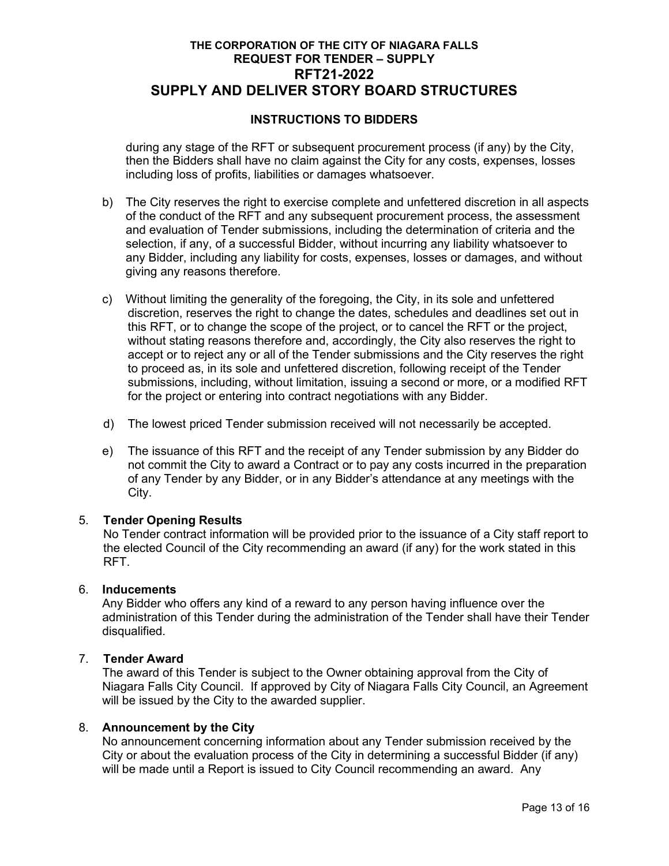# **INSTRUCTIONS TO BIDDERS**

during any stage of the RFT or subsequent procurement process (if any) by the City, then the Bidders shall have no claim against the City for any costs, expenses, losses including loss of profits, liabilities or damages whatsoever.

- b) The City reserves the right to exercise complete and unfettered discretion in all aspects of the conduct of the RFT and any subsequent procurement process, the assessment and evaluation of Tender submissions, including the determination of criteria and the selection, if any, of a successful Bidder, without incurring any liability whatsoever to any Bidder, including any liability for costs, expenses, losses or damages, and without giving any reasons therefore.
- c) Without limiting the generality of the foregoing, the City, in its sole and unfettered discretion, reserves the right to change the dates, schedules and deadlines set out in this RFT, or to change the scope of the project, or to cancel the RFT or the project, without stating reasons therefore and, accordingly, the City also reserves the right to accept or to reject any or all of the Tender submissions and the City reserves the right to proceed as, in its sole and unfettered discretion, following receipt of the Tender submissions, including, without limitation, issuing a second or more, or a modified RFT for the project or entering into contract negotiations with any Bidder.
- d) The lowest priced Tender submission received will not necessarily be accepted.
- e) The issuance of this RFT and the receipt of any Tender submission by any Bidder do not commit the City to award a Contract or to pay any costs incurred in the preparation of any Tender by any Bidder, or in any Bidder's attendance at any meetings with the City.

### 5. **Tender Opening Results**

No Tender contract information will be provided prior to the issuance of a City staff report to the elected Council of the City recommending an award (if any) for the work stated in this RFT.

### 6. **Inducements**

Any Bidder who offers any kind of a reward to any person having influence over the administration of this Tender during the administration of the Tender shall have their Tender disqualified.

# 7. **Tender Award**

The award of this Tender is subject to the Owner obtaining approval from the City of Niagara Falls City Council. If approved by City of Niagara Falls City Council, an Agreement will be issued by the City to the awarded supplier.

# 8. **Announcement by the City**

No announcement concerning information about any Tender submission received by the City or about the evaluation process of the City in determining a successful Bidder (if any) will be made until a Report is issued to City Council recommending an award. Any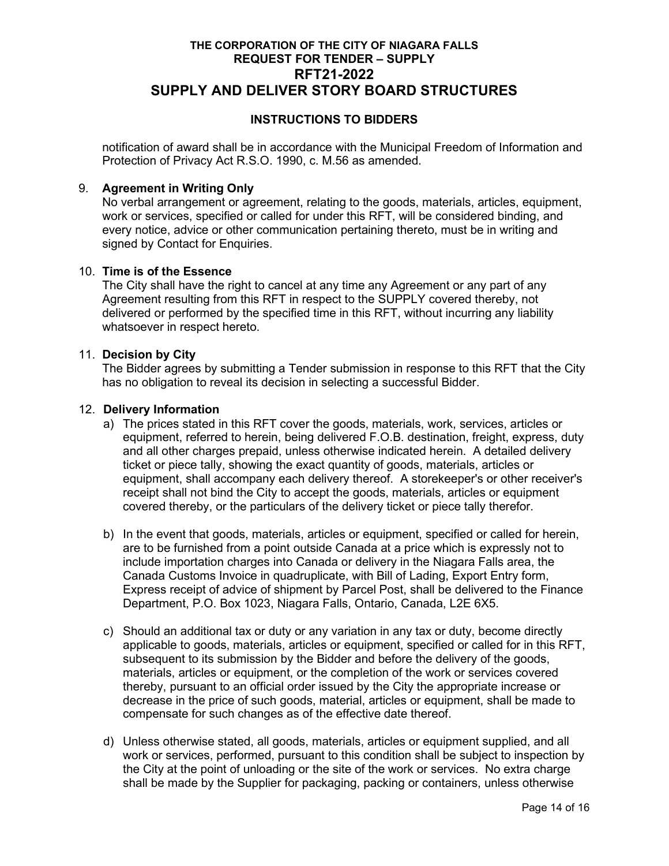# **INSTRUCTIONS TO BIDDERS**

notification of award shall be in accordance with the Municipal Freedom of Information and Protection of Privacy Act R.S.O. 1990, c. M.56 as amended.

## 9. **Agreement in Writing Only**

No verbal arrangement or agreement, relating to the goods, materials, articles, equipment, work or services, specified or called for under this RFT, will be considered binding, and every notice, advice or other communication pertaining thereto, must be in writing and signed by Contact for Enquiries.

# 10. **Time is of the Essence**

The City shall have the right to cancel at any time any Agreement or any part of any Agreement resulting from this RFT in respect to the SUPPLY covered thereby, not delivered or performed by the specified time in this RFT, without incurring any liability whatsoever in respect hereto.

### 11. **Decision by City**

The Bidder agrees by submitting a Tender submission in response to this RFT that the City has no obligation to reveal its decision in selecting a successful Bidder.

## 12. **Delivery Information**

- a) The prices stated in this RFT cover the goods, materials, work, services, articles or equipment, referred to herein, being delivered F.O.B. destination, freight, express, duty and all other charges prepaid, unless otherwise indicated herein. A detailed delivery ticket or piece tally, showing the exact quantity of goods, materials, articles or equipment, shall accompany each delivery thereof. A storekeeper's or other receiver's receipt shall not bind the City to accept the goods, materials, articles or equipment covered thereby, or the particulars of the delivery ticket or piece tally therefor.
- b) In the event that goods, materials, articles or equipment, specified or called for herein, are to be furnished from a point outside Canada at a price which is expressly not to include importation charges into Canada or delivery in the Niagara Falls area, the Canada Customs Invoice in quadruplicate, with Bill of Lading, Export Entry form, Express receipt of advice of shipment by Parcel Post, shall be delivered to the Finance Department, P.O. Box 1023, Niagara Falls, Ontario, Canada, L2E 6X5.
- c) Should an additional tax or duty or any variation in any tax or duty, become directly applicable to goods, materials, articles or equipment, specified or called for in this RFT, subsequent to its submission by the Bidder and before the delivery of the goods, materials, articles or equipment, or the completion of the work or services covered thereby, pursuant to an official order issued by the City the appropriate increase or decrease in the price of such goods, material, articles or equipment, shall be made to compensate for such changes as of the effective date thereof.
- d) Unless otherwise stated, all goods, materials, articles or equipment supplied, and all work or services, performed, pursuant to this condition shall be subject to inspection by the City at the point of unloading or the site of the work or services. No extra charge shall be made by the Supplier for packaging, packing or containers, unless otherwise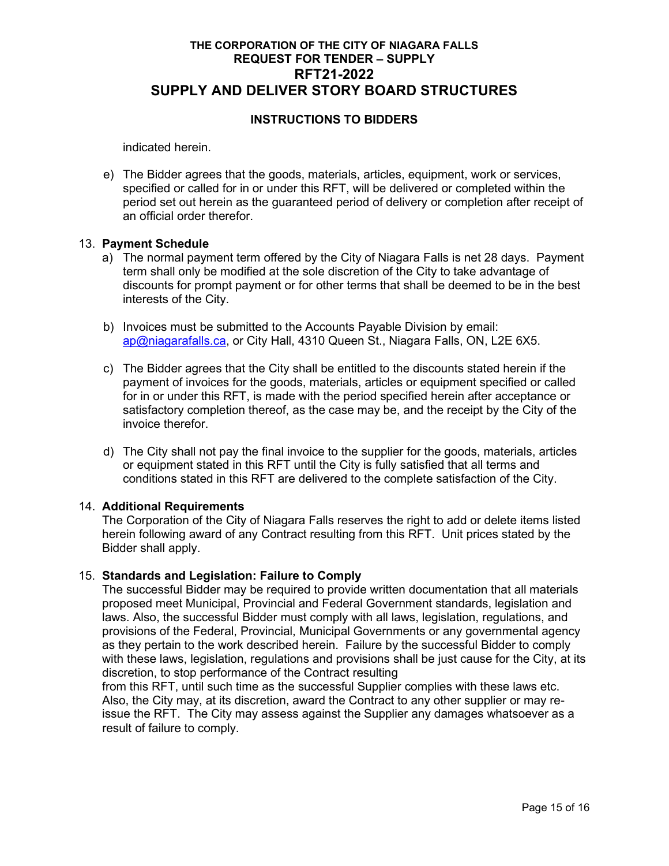# **INSTRUCTIONS TO BIDDERS**

indicated herein.

e) The Bidder agrees that the goods, materials, articles, equipment, work or services, specified or called for in or under this RFT, will be delivered or completed within the period set out herein as the guaranteed period of delivery or completion after receipt of an official order therefor.

### 13. **Payment Schedule**

- a) The normal payment term offered by the City of Niagara Falls is net 28 days. Payment term shall only be modified at the sole discretion of the City to take advantage of discounts for prompt payment or for other terms that shall be deemed to be in the best interests of the City.
- b) Invoices must be submitted to the Accounts Payable Division by email: [ap@niagarafalls.ca,](mailto:ap@niagarafalls.ca) or City Hall, 4310 Queen St., Niagara Falls, ON, L2E 6X5.
- c) The Bidder agrees that the City shall be entitled to the discounts stated herein if the payment of invoices for the goods, materials, articles or equipment specified or called for in or under this RFT, is made with the period specified herein after acceptance or satisfactory completion thereof, as the case may be, and the receipt by the City of the invoice therefor.
- d) The City shall not pay the final invoice to the supplier for the goods, materials, articles or equipment stated in this RFT until the City is fully satisfied that all terms and conditions stated in this RFT are delivered to the complete satisfaction of the City.

### 14. **Additional Requirements**

The Corporation of the City of Niagara Falls reserves the right to add or delete items listed herein following award of any Contract resulting from this RFT. Unit prices stated by the Bidder shall apply.

#### 15. **Standards and Legislation: Failure to Comply**

The successful Bidder may be required to provide written documentation that all materials proposed meet Municipal, Provincial and Federal Government standards, legislation and laws. Also, the successful Bidder must comply with all laws, legislation, regulations, and provisions of the Federal, Provincial, Municipal Governments or any governmental agency as they pertain to the work described herein. Failure by the successful Bidder to comply with these laws, legislation, regulations and provisions shall be just cause for the City, at its discretion, to stop performance of the Contract resulting

from this RFT, until such time as the successful Supplier complies with these laws etc. Also, the City may, at its discretion, award the Contract to any other supplier or may reissue the RFT. The City may assess against the Supplier any damages whatsoever as a result of failure to comply.